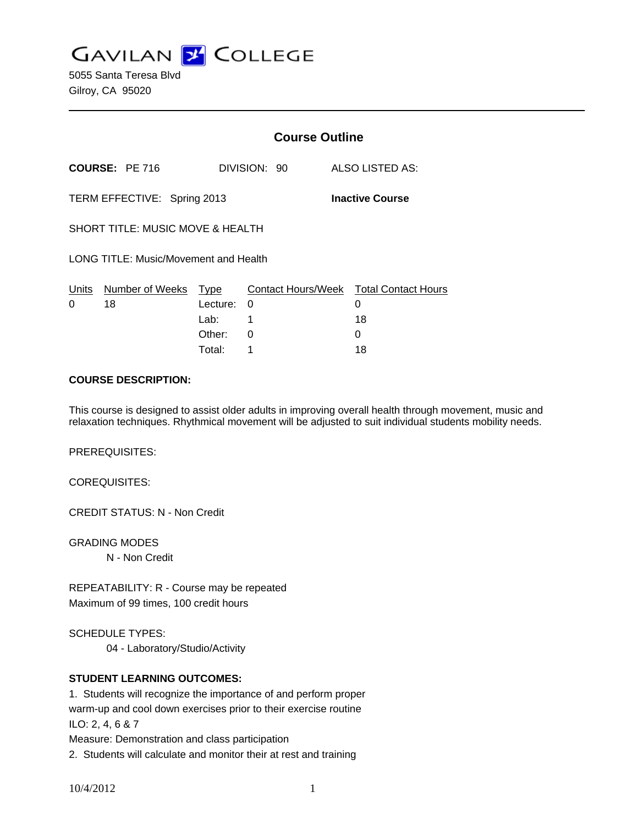**GAVILAN J COLLEGE** 

5055 Santa Teresa Blvd Gilroy, CA 95020

|                                                       |                       | <b>Course Outline</b>              |                    |  |                                                   |
|-------------------------------------------------------|-----------------------|------------------------------------|--------------------|--|---------------------------------------------------|
|                                                       | <b>COURSE: PE 716</b> |                                    | DIVISION: 90       |  | ALSO LISTED AS:                                   |
| TERM EFFECTIVE: Spring 2013<br><b>Inactive Course</b> |                       |                                    |                    |  |                                                   |
| SHORT TITLE: MUSIC MOVE & HEALTH                      |                       |                                    |                    |  |                                                   |
| LONG TITLE: Music/Movement and Health                 |                       |                                    |                    |  |                                                   |
| Units<br>0                                            | Number of Weeks<br>18 | Type<br>Lecture:<br>Lab:<br>Other: | $\Omega$<br>1<br>0 |  | Contact Hours/Week Total Contact Hours<br>0<br>18 |
|                                                       |                       |                                    |                    |  |                                                   |

#### **COURSE DESCRIPTION:**

This course is designed to assist older adults in improving overall health through movement, music and relaxation techniques. Rhythmical movement will be adjusted to suit individual students mobility needs.

Total: 1 18

PREREQUISITES:

COREQUISITES:

CREDIT STATUS: N - Non Credit

GRADING MODES N - Non Credit

REPEATABILITY: R - Course may be repeated Maximum of 99 times, 100 credit hours

SCHEDULE TYPES:

04 - Laboratory/Studio/Activity

### **STUDENT LEARNING OUTCOMES:**

1. Students will recognize the importance of and perform proper warm-up and cool down exercises prior to their exercise routine ILO: 2, 4, 6 & 7

Measure: Demonstration and class participation

2. Students will calculate and monitor their at rest and training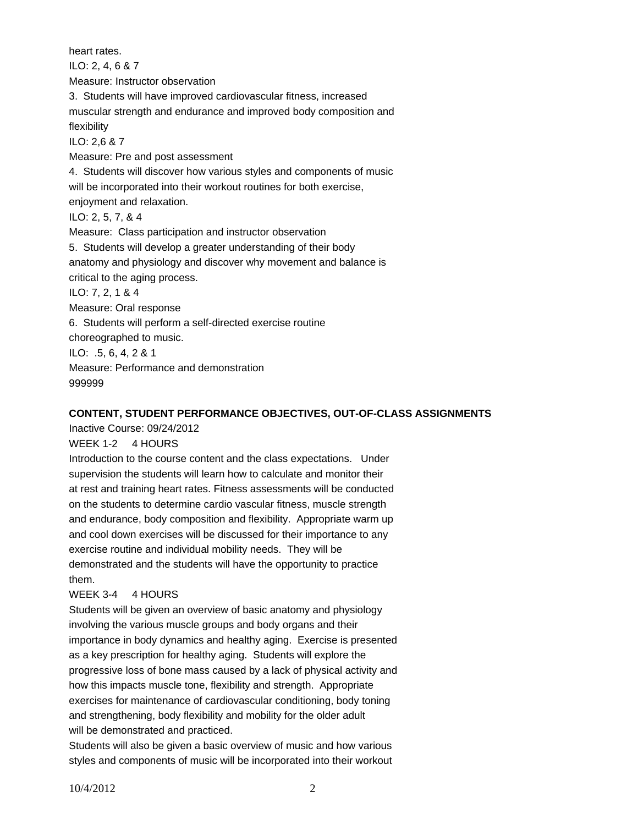heart rates. ILO: 2, 4, 6 & 7 Measure: Instructor observation 3. Students will have improved cardiovascular fitness, increased muscular strength and endurance and improved body composition and flexibility ILO: 2,6 & 7 Measure: Pre and post assessment 4. Students will discover how various styles and components of music will be incorporated into their workout routines for both exercise, enjoyment and relaxation. ILO: 2, 5, 7, & 4 Measure: Class participation and instructor observation 5. Students will develop a greater understanding of their body anatomy and physiology and discover why movement and balance is critical to the aging process. ILO: 7, 2, 1 & 4 Measure: Oral response 6. Students will perform a self-directed exercise routine choreographed to music. ILO: .5, 6, 4, 2 & 1 Measure: Performance and demonstration 999999

### **CONTENT, STUDENT PERFORMANCE OBJECTIVES, OUT-OF-CLASS ASSIGNMENTS**

Inactive Course: 09/24/2012

WEEK 1-2 4 HOURS

Introduction to the course content and the class expectations. Under supervision the students will learn how to calculate and monitor their at rest and training heart rates. Fitness assessments will be conducted on the students to determine cardio vascular fitness, muscle strength and endurance, body composition and flexibility. Appropriate warm up and cool down exercises will be discussed for their importance to any exercise routine and individual mobility needs. They will be demonstrated and the students will have the opportunity to practice them.

### WEEK 3-4 4 HOURS

Students will be given an overview of basic anatomy and physiology involving the various muscle groups and body organs and their importance in body dynamics and healthy aging. Exercise is presented as a key prescription for healthy aging. Students will explore the progressive loss of bone mass caused by a lack of physical activity and how this impacts muscle tone, flexibility and strength. Appropriate exercises for maintenance of cardiovascular conditioning, body toning and strengthening, body flexibility and mobility for the older adult will be demonstrated and practiced.

Students will also be given a basic overview of music and how various styles and components of music will be incorporated into their workout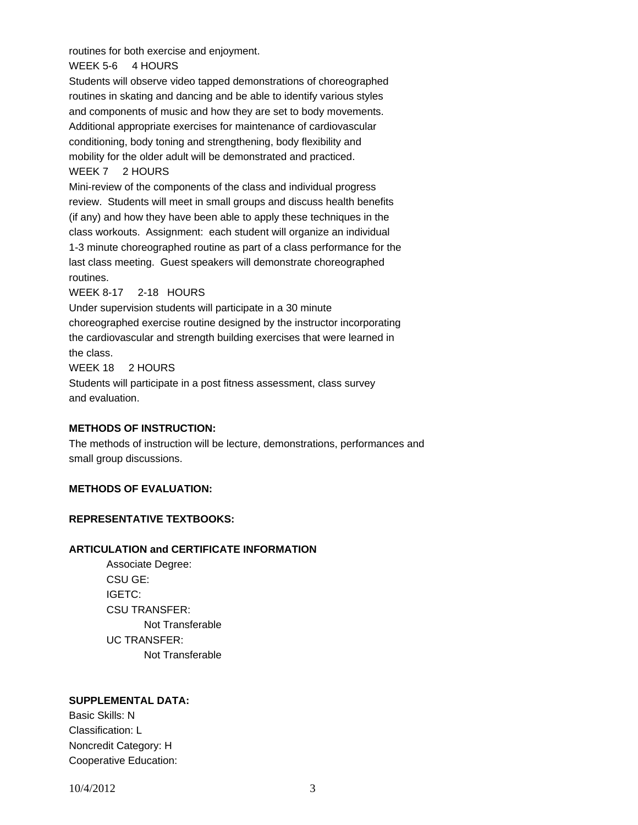routines for both exercise and enjoyment.

WEEK 5-6 4 HOURS

Students will observe video tapped demonstrations of choreographed routines in skating and dancing and be able to identify various styles and components of music and how they are set to body movements. Additional appropriate exercises for maintenance of cardiovascular conditioning, body toning and strengthening, body flexibility and mobility for the older adult will be demonstrated and practiced. WEEK 7 2 HOURS

Mini-review of the components of the class and individual progress review. Students will meet in small groups and discuss health benefits (if any) and how they have been able to apply these techniques in the class workouts. Assignment: each student will organize an individual 1-3 minute choreographed routine as part of a class performance for the last class meeting. Guest speakers will demonstrate choreographed routines.

### WEEK 8-17 2-18 HOURS

Under supervision students will participate in a 30 minute choreographed exercise routine designed by the instructor incorporating the cardiovascular and strength building exercises that were learned in the class.

WEEK 18 2 HOURS

Students will participate in a post fitness assessment, class survey and evaluation.

### **METHODS OF INSTRUCTION:**

The methods of instruction will be lecture, demonstrations, performances and small group discussions.

# **METHODS OF EVALUATION:**

# **REPRESENTATIVE TEXTBOOKS:**

# **ARTICULATION and CERTIFICATE INFORMATION**

 Not Transferable UC TRANSFER: Not Transferable Associate Degree: CSU GE: IGETC: CSU TRANSFER:

### **SUPPLEMENTAL DATA:**

Basic Skills: N Classification: L Noncredit Category: H Cooperative Education: